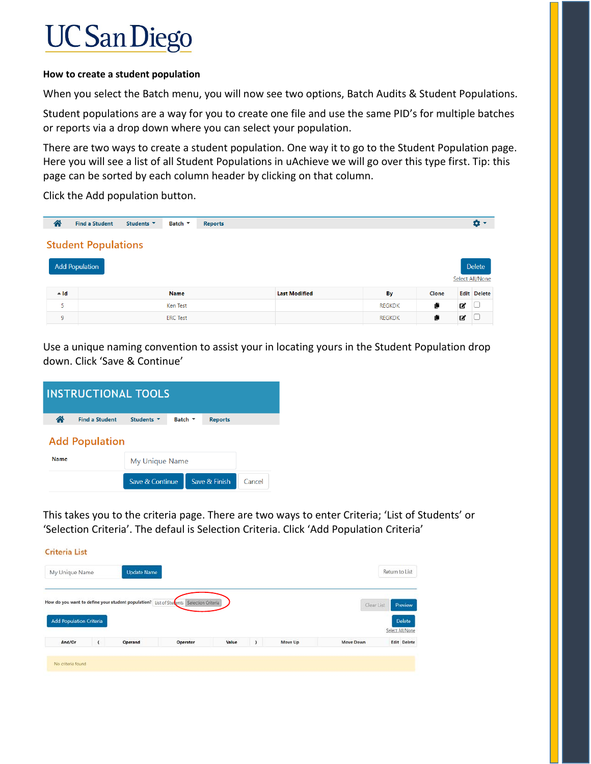## **UC San Diego**

## **How to create a student population**

When you select the Batch menu, you will now see two options, Batch Audits & Student Populations.

Student populations are a way for you to create one file and use the same PID's for multiple batches or reports via a drop down where you can select your population.

There are two ways to create a student population. One way it to go to the Student Population page. Here you will see a list of all Student Populations in uAchieve we will go over this type first. Tip: this page can be sorted by each column header by clicking on that column.

Click the Add population button.

| 合      | <b>Find a Student</b>      | Students <b>v</b> | Batch <b>v</b>  | <b>Reports</b> |                      |               |       |   | œ۰                        |
|--------|----------------------------|-------------------|-----------------|----------------|----------------------|---------------|-------|---|---------------------------|
|        | <b>Student Populations</b> |                   |                 |                |                      |               |       |   |                           |
|        | <b>Add Population</b>      |                   |                 |                |                      |               |       |   | Delete<br>Select All/None |
| $-$ Id |                            |                   | <b>Name</b>     |                | <b>Last Modified</b> | By            | Clone |   | <b>Edit Delete</b>        |
| 5      |                            |                   | Ken Test        |                |                      | <b>REGKDK</b> | Ë     | ■ | 10                        |
| 9      |                            |                   | <b>ERC</b> Test |                |                      | <b>REGKDK</b> | Ë     | ☑ | - ∪                       |

Use a unique naming convention to assist your in locating yours in the Student Population drop down. Click 'Save & Continue'

| <b>INSTRUCTIONAL TOOLS</b> |                       |                   |                |  |                |        |  |  |  |  |
|----------------------------|-----------------------|-------------------|----------------|--|----------------|--------|--|--|--|--|
| Ѧ                          | <b>Find a Student</b> | Students <b>v</b> | Batch $\tau$   |  | <b>Reports</b> |        |  |  |  |  |
|                            | <b>Add Population</b> |                   |                |  |                |        |  |  |  |  |
| <b>Name</b>                |                       |                   | My Unique Name |  |                |        |  |  |  |  |
|                            |                       | Save & Continue   |                |  | Save & Finish  | Cancel |  |  |  |  |

 $\overline{a}$  . The same states of the states of the states of the states of the states of the states of the states of the states of the states of the states of the states of the states of the states of the states of the state

This takes you to the criteria page. There are two ways to enter Criteria; 'List of Students' or 'Selection Criteria'. The defaul is Selection Criteria. Click 'Add Population Criteria'

| My Unique Name                 |          | <b>Update Name</b>                                                  |                    |       |   |         |            | Return to List                 |
|--------------------------------|----------|---------------------------------------------------------------------|--------------------|-------|---|---------|------------|--------------------------------|
| <b>Add Population Criteria</b> |          | How do you want to define your student population? List of Students | Selection Criteria |       |   |         | Clear List | Preview<br>Delete              |
| And/Or                         | $\left($ | Operand                                                             | Operator           | Value | , | Move Up | Move Down  | Select All/None<br>Edit Delete |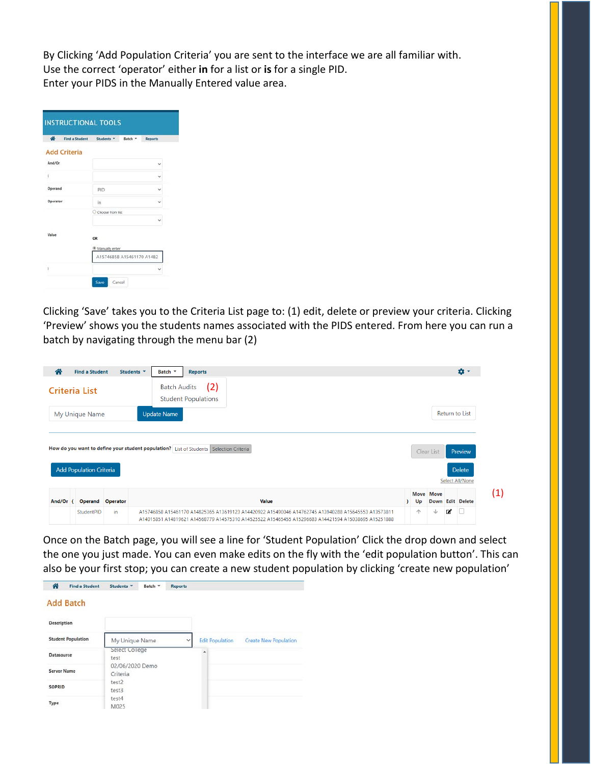By Clicking 'Add Population Criteria' you are sent to the interface we are all familiar with. Use the correct 'operator' either **in** for a list or **is** for a single PID. Enter your PIDS in the Manually Entered value area.

| 奇<br><b>Find a Student</b> | Students *<br>Batch *     | <b>Reports</b> |
|----------------------------|---------------------------|----------------|
| <b>Add Criteria</b>        |                           |                |
| And/Or                     |                           | v              |
|                            |                           |                |
| Operand                    | PID:                      |                |
| Operator                   | in                        | v              |
|                            | Choose from list          |                |
|                            |                           |                |
| Value                      | OR<br>Manually enter      |                |
|                            | A15746858 A15461170 A1482 |                |

Clicking 'Save' takes you to the Criteria List page to: (1) edit, delete or preview your criteria. Clicking 'Preview' shows you the students names associated with the PIDS entered. From here you can run a batch by navigating through the menu bar (2)

| 谷        | <b>Find a Student</b>                                                                  | Students <b>v</b> | Batch <b>T</b>      | <b>Reports</b>                    |  |  |       |  |  |  |  |            |             | io -                             |
|----------|----------------------------------------------------------------------------------------|-------------------|---------------------|-----------------------------------|--|--|-------|--|--|--|--|------------|-------------|----------------------------------|
|          | Criteria List                                                                          |                   | <b>Batch Audits</b> | (2)<br><b>Student Populations</b> |  |  |       |  |  |  |  |            |             |                                  |
|          | My Unique Name                                                                         |                   | <b>Update Name</b>  |                                   |  |  |       |  |  |  |  |            |             | Return to List                   |
|          | How do you want to define your student population? List of Students Selection Criteria |                   |                     |                                   |  |  |       |  |  |  |  |            | Clear List  | Preview                          |
|          | <b>Add Population Criteria</b>                                                         |                   |                     |                                   |  |  |       |  |  |  |  |            |             | <b>Delete</b><br>Select All/None |
| And/Or ( | <b>Operand Operator</b>                                                                |                   |                     |                                   |  |  | Value |  |  |  |  | Move<br>Up | <b>Move</b> | Down Edit Delete                 |

Once on the Batch page, you will see a line for 'Student Population' Click the drop down and select the one you just made. You can even make edits on the fly with the 'edit population button'. This can also be your first stop; you can create a new student population by clicking 'create new population'

| 叠<br><b>Find a Student</b> | Students <sup>v</sup><br>Batch v | <b>Reports</b>                         |                              |
|----------------------------|----------------------------------|----------------------------------------|------------------------------|
| <b>Add Batch</b>           |                                  |                                        |                              |
| Description                |                                  |                                        |                              |
| <b>Student Population</b>  | My Unique Name                   | <b>Edit Population</b><br>$\checkmark$ | <b>Create New Population</b> |
| Datasource                 | Select College<br>test           | ۰                                      |                              |
| <b>Server Name</b>         | 02/06/2020 Demo<br>Criteria      |                                        |                              |
| SOPRID                     | test2<br>test3                   |                                        |                              |
| Type                       | test4<br>M025                    |                                        |                              |